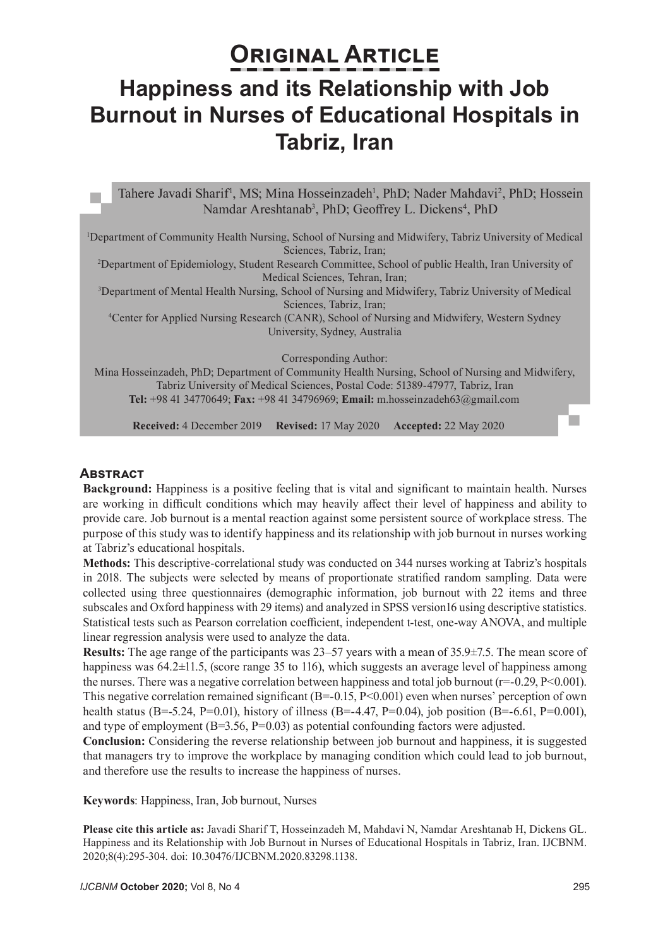# **ORIGINAL ARTICLE Happiness and its Relationship with Job Burnout in Nurses of Educational Hospitals in Tabriz, Iran**

Tahere Javadi Sharif<sup>1</sup>, MS; Mina Hosseinzadeh<sup>1</sup>, PhD; Nader Mahdavi<sup>2</sup>, PhD; Hossein Namdar Areshtanab<sup>3</sup>, PhD; Geoffrey L. Dickens<sup>4</sup>, PhD

1 Department of Community Health Nursing, School of Nursing and Midwifery, Tabriz University of Medical Sciences, Tabriz, Iran;

2 Department of Epidemiology, Student Research Committee, School of public Health, Iran University of Medical Sciences, Tehran, Iran;

3 Department of Mental Health Nursing, School of Nursing and Midwifery, Tabriz University of Medical Sciences, Tabriz, Iran;

4 Center for Applied Nursing Research (CANR), School of Nursing and Midwifery, Western Sydney University, Sydney, Australia

Corresponding Author:

Mina Hosseinzadeh, PhD; Department of Community Health Nursing, School of Nursing and Midwifery, Tabriz University of Medical Sciences, Postal Code: 51389-47977, Tabriz, Iran **Tel:** +98 41 34770649; **Fax:** +98 41 34796969; **Email:** m.[hosseinzadeh63@gmail.com](mailto:hosseinzadeh63@gmail.com)

**Received:** 4 December 2019 **Revised:** 17 May 2020 **Accepted:** 22 May 2020

#### **Abstract**

**Background:** Happiness is a positive feeling that is vital and significant to maintain health. Nurses are working in difficult conditions which may heavily affect their level of happiness and ability to provide care. Job burnout is a mental reaction against some persistent source of workplace stress. The purpose of this study was to identify happiness and its relationship with job burnout in nurses working at Tabriz's educational hospitals.

**Methods:** This descriptive-correlational study was conducted on 344 nurses working at Tabriz's hospitals in 2018. The subjects were selected by means of proportionate stratified random sampling. Data were collected using three questionnaires (demographic information, job burnout with 22 items and three subscales and Oxford happiness with 29 items) and analyzed in SPSS version16 using descriptive statistics. Statistical tests such as Pearson correlation coefficient, independent t-test, one-way ANOVA, and multiple linear regression analysis were used to analyze the data.

**Results:** The age range of the participants was 23–57 years with a mean of 35.9±7.5. The mean score of happiness was  $64.2 \pm 11.5$ , (score range 35 to 116), which suggests an average level of happiness among the nurses. There was a negative correlation between happiness and total job burnout ( $r=-0.29$ ,  $P<0.001$ ). This negative correlation remained significant  $(B=-0.15, P<0.001)$  even when nurses' perception of own health status (B=-5.24, P=0.01), history of illness (B=-4.47, P=0.04), job position (B=-6.61, P=0.001), and type of employment  $(B=3.56, P=0.03)$  as potential confounding factors were adjusted.

**Conclusion:** Considering the reverse relationship between job burnout and happiness, it is suggested that managers try to improve the workplace by managing condition which could lead to job burnout, and therefore use the results to increase the happiness of nurses.

**Keywords**: Happiness, Iran, Job burnout, Nurses

**Please cite this article as:** Javadi Sharif T, Hosseinzadeh M, Mahdavi N, Namdar Areshtanab H, Dickens GL. Happiness and its Relationship with Job Burnout in Nurses of Educational Hospitals in Tabriz, Iran. IJCBNM. 2020;8(4):295-304. doi: 10.30476/IJCBNM.2020.83298.1138.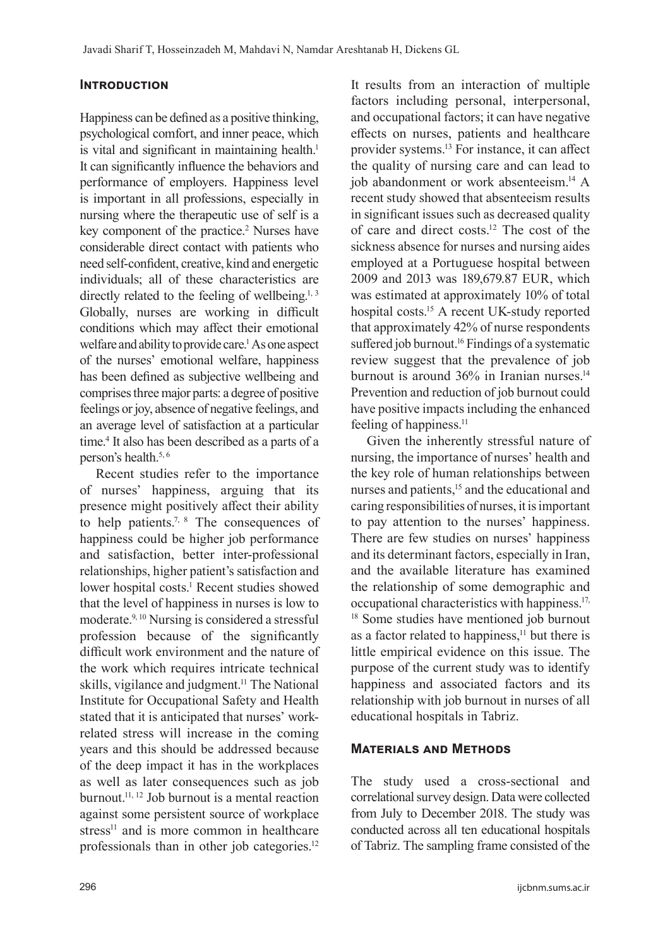# **Introduction**

Happiness can be defined as a positive thinking, psychological comfort, and inner peace, which is vital and significant in maintaining health.<sup>1</sup> It can significantly influence the behaviors and performance of employers. Happiness level is important in all professions, especially in nursing where the therapeutic use of self is a key component of the practice.<sup>2</sup> Nurses have considerable direct contact with patients who need self-confident, creative, kind and energetic individuals; all of these characteristics are directly related to the feeling of wellbeing.<sup>1, 3</sup> Globally, nurses are working in difficult conditions which may affect their emotional welfare and ability to provide care.<sup>1</sup> As one aspect of the nurses' emotional welfare, happiness has been defined as subjective wellbeing and comprises three major parts: a degree of positive feelings or joy, absence of negative feelings, and an average level of satisfaction at a particular time.<sup>4</sup> It also has been described as a parts of a person's health.5, 6

Recent studies refer to the importance of nurses' happiness, arguing that its presence might positively affect their ability to help patients.<sup>7, 8</sup> The consequences of happiness could be higher job performance and satisfaction, better inter-professional relationships, higher patient's satisfaction and lower hospital costs.<sup>1</sup> Recent studies showed that the level of happiness in nurses is low to moderate.9, 10 Nursing is considered a stressful profession because of the significantly difficult work environment and the nature of the work which requires intricate technical skills, vigilance and judgment.<sup>11</sup> The National Institute for Occupational Safety and Health stated that it is anticipated that nurses' workrelated stress will increase in the coming years and this should be addressed because of the deep impact it has in the workplaces as well as later consequences such as job burnout.11, 12 Job burnout is a mental reaction against some persistent source of workplace stress $^{11}$  and is more common in healthcare professionals than in other job categories.<sup>12</sup>

It results from an interaction of multiple factors including personal, interpersonal, and occupational factors; it can have negative effects on nurses, patients and healthcare provider systems.13 For instance, it can affect the quality of nursing care and can lead to job abandonment or work absenteeism.14 A recent study showed that absenteeism results in significant issues such as decreased quality of care and direct costs.<sup>12</sup> The cost of the sickness absence for nurses and nursing aides employed at a Portuguese hospital between 2009 and 2013 was 189,679.87 EUR, which was estimated at approximately 10% of total hospital costs.15 A recent UK-study reported that approximately 42% of nurse respondents suffered job burnout.<sup>16</sup> Findings of a systematic review suggest that the prevalence of job burnout is around  $36\%$  in Iranian nurses.<sup>14</sup> Prevention and reduction of job burnout could have positive impacts including the enhanced feeling of happiness.<sup>11</sup>

Given the inherently stressful nature of nursing, the importance of nurses' health and the key role of human relationships between nurses and patients,<sup>15</sup> and the educational and caring responsibilities of nurses, it is important to pay attention to the nurses' happiness. There are few studies on nurses' happiness and its determinant factors, especially in Iran, and the available literature has examined the relationship of some demographic and occupational characteristics with happiness.17, <sup>18</sup> Some studies have mentioned job burnout as a factor related to happiness,<sup>11</sup> but there is little empirical evidence on this issue. The purpose of the current study was to identify happiness and associated factors and its relationship with job burnout in nurses of all educational hospitals in Tabriz.

## **Materials and Methods**

The study used a cross-sectional and correlational survey design. Data were collected from July to December 2018. The study was conducted across all ten educational hospitals of Tabriz. The sampling frame consisted of the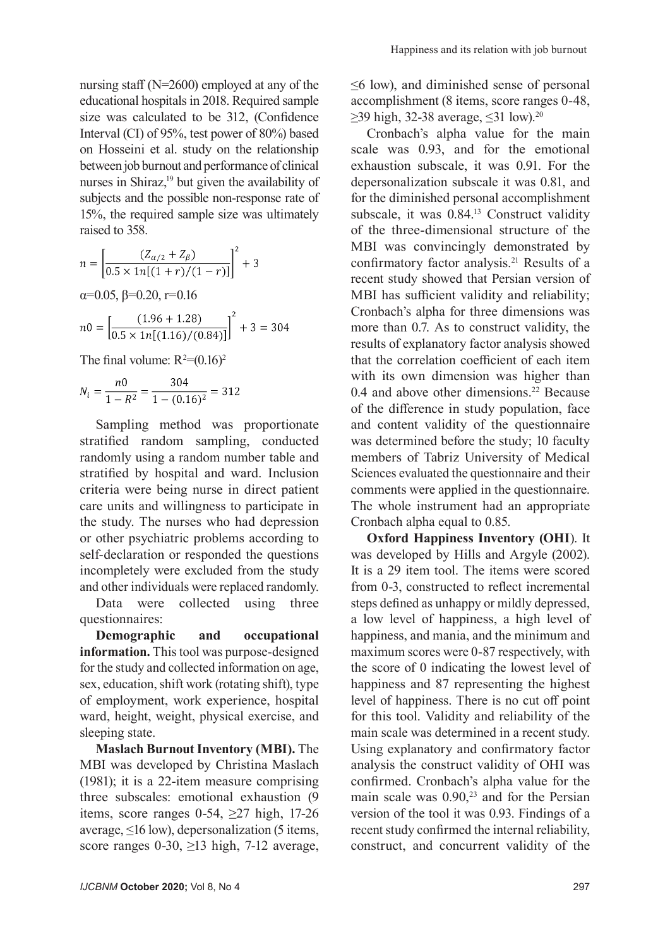nursing staff (N=2600) employed at any of the educational hospitals in 2018. Required sample size was calculated to be 312, (Confidence Interval (CI) of 95%, test power of 80%) based on Hosseini et al. study on the relationship between job burnout and performance of clinical nurses in Shiraz,<sup>19</sup> but given the availability of subjects and the possible non-response rate of 15%, the required sample size was ultimately raised to 358.

$$
n = \left[\frac{(Z_{\alpha/2} + Z_{\beta})}{0.5 \times 1n[(1+r)/(1-r)]}\right]^2 + 3
$$
  
\n
$$
\alpha = 0.05, \beta = 0.20, r = 0.16
$$
  
\n
$$
n0 = \left[\frac{(1.96 + 1.28)}{0.5 \times 1n[(1.16)/(0.84)]}\right]^2 + 3 = 304
$$

The final volume:  $R^2=(0.16)^2$ 

$$
N_i = \frac{n0}{1 - R^2} = \frac{304}{1 - (0.16)^2} = 312
$$

Sampling method was proportionate stratified random sampling, conducted randomly using a random number table and stratified by hospital and ward. Inclusion criteria were being nurse in direct patient care units and willingness to participate in the study. The nurses who had depression or other psychiatric problems according to self-declaration or responded the questions incompletely were excluded from the study and other individuals were replaced randomly.

Data were collected using three questionnaires:

**Demographic and occupational information.** This tool was purpose-designed for the study and collected information on age, sex, education, shift work (rotating shift), type of employment, work experience, hospital ward, height, weight, physical exercise, and sleeping state.

**Maslach Burnout Inventory (MBI).** The MBI was developed by Christina Maslach (1981); it is a 22-item measure comprising three subscales: emotional exhaustion (9 items, score ranges  $0-54$ ,  $\geq$ 27 high, 17-26 average,  $\leq 16$  low), depersonalization (5 items, score ranges  $0-30$ ,  $\geq 13$  high, 7-12 average,

≤6 low), and diminished sense of personal accomplishment (8 items, score ranges 0-48,  $\geq$ 39 high, 32-38 average,  $\leq$ 31 low).<sup>20</sup>

Cronbach's alpha value for the main scale was 0.93, and for the emotional exhaustion subscale, it was 0.91. For the depersonalization subscale it was 0.81, and for the diminished personal accomplishment subscale, it was 0.84.13 Construct validity of the three-dimensional structure of the MBI was convincingly demonstrated by confirmatory factor analysis.<sup>21</sup> Results of a recent study showed that Persian version of MBI has sufficient validity and reliability; Cronbach's alpha for three dimensions was more than 0.7. As to construct validity, the results of explanatory factor analysis showed that the correlation coefficient of each item with its own dimension was higher than 0.4 and above other dimensions.<sup>22</sup> Because of the difference in study population, face and content validity of the questionnaire was determined before the study; 10 faculty members of Tabriz University of Medical Sciences evaluated the questionnaire and their comments were applied in the questionnaire. The whole instrument had an appropriate Cronbach alpha equal to 0.85.

**Oxford Happiness Inventory (OHI**). It was developed by Hills and Argyle (2002). It is a 29 item tool. The items were scored from 0-3, constructed to reflect incremental steps defined as unhappy or mildly depressed, a low level of happiness, a high level of happiness, and mania, and the minimum and maximum scores were 0-87 respectively, with the score of 0 indicating the lowest level of happiness and 87 representing the highest level of happiness. There is no cut off point for this tool. Validity and reliability of the main scale was determined in a recent study. Using explanatory and confirmatory factor analysis the construct validity of OHI was confirmed. Cronbach's alpha value for the main scale was  $0.90<sub>1</sub><sup>23</sup>$  and for the Persian version of the tool it was 0.93. Findings of a recent study confirmed the internal reliability, construct, and concurrent validity of the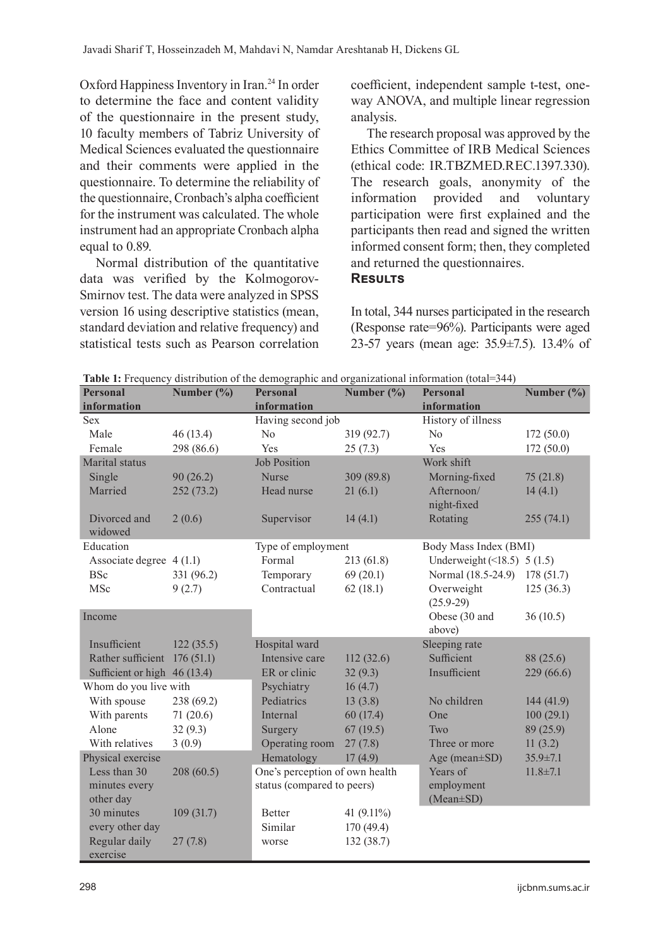Oxford Happiness Inventory in Iran.<sup>24</sup> In order to determine the face and content validity of the questionnaire in the present study, 10 faculty members of Tabriz University of Medical Sciences evaluated the questionnaire and their comments were applied in the questionnaire. To determine the reliability of the questionnaire, Cronbach's alpha coefficient for the instrument was calculated. The whole instrument had an appropriate Cronbach alpha equal to 0.89.

Normal distribution of the quantitative data was verified by the Kolmogorov-Smirnov test. The data were analyzed in SPSS version 16 using descriptive statistics (mean, standard deviation and relative frequency) and statistical tests such as Pearson correlation coefficient, independent sample t-test, oneway ANOVA, and multiple linear regression analysis.

The research proposal was approved by the Ethics Committee of IRB Medical Sciences (ethical code: IR.TBZMED.REC.1397.330). The research goals, anonymity of the information provided and voluntary participation were first explained and the participants then read and signed the written informed consent form; then, they completed and returned the questionnaires. **Results**

In total, 344 nurses participated in the research (Response rate=96%). Participants were aged 23-57 years (mean age: 35.9±7.5). 13.4% of

| Table 1: Frequency distribution of the demographic and organizational information (total=344) |  |  |  |
|-----------------------------------------------------------------------------------------------|--|--|--|
|                                                                                               |  |  |  |

| <b>Personal</b><br>information | Number $(\% )$ | <b>Personal</b><br>information | Number $(\% )$ | <b>Personal</b><br>information | Number $(\% )$ |  |
|--------------------------------|----------------|--------------------------------|----------------|--------------------------------|----------------|--|
| <b>Sex</b>                     |                | Having second job              |                | History of illness             |                |  |
| Male                           | 46(13.4)       | N <sub>o</sub>                 | 319 (92.7)     | No                             | 172(50.0)      |  |
| Female                         | 298 (86.6)     | Yes                            | 25(7.3)        | Yes                            | 172(50.0)      |  |
| Marital status                 |                | <b>Job Position</b>            |                | Work shift                     |                |  |
| Single                         | 90(26.2)       | <b>Nurse</b>                   | 309 (89.8)     | Morning-fixed                  | 75(21.8)       |  |
| Married                        | 252(73.2)      | Head nurse                     | 21(6.1)        | Afternoon/<br>night-fixed      | 14(4.1)        |  |
| Divorced and<br>widowed        | 2(0.6)         | Supervisor                     | 14(4.1)        | Rotating                       | 255(74.1)      |  |
| Education                      |                | Type of employment             |                | Body Mass Index (BMI)          |                |  |
| Associate degree 4 (1.1)       |                | Formal                         | 213 (61.8)     | Underweight $($ 18.5) 5 (1.5)  |                |  |
| <b>BSc</b>                     | 331 (96.2)     | Temporary                      | 69(20.1)       | Normal (18.5-24.9)             | 178(51.7)      |  |
| MSc                            | 9(2.7)         | Contractual                    | 62(18.1)       | Overweight<br>$(25.9-29)$      | 125(36.3)      |  |
| Income                         |                |                                |                | Obese (30 and                  | 36(10.5)       |  |
|                                |                |                                |                | above)                         |                |  |
| Insufficient                   | 122(35.5)      | Hospital ward                  |                | Sleeping rate                  |                |  |
| Rather sufficient              | 176(51.1)      | Intensive care                 | 112(32.6)      | Sufficient                     | 88 (25.6)      |  |
| Sufficient or high 46 (13.4)   |                | ER or clinic                   | 32(9.3)        | Insufficient                   | 229 (66.6)     |  |
| Whom do you live with          |                | Psychiatry                     | 16(4.7)        |                                |                |  |
| With spouse                    | 238 (69.2)     | Pediatrics                     | 13(3.8)        | No children                    | 144(41.9)      |  |
| With parents                   | 71(20.6)       | Internal                       | 60(17.4)       | One                            | 100(29.1)      |  |
| Alone                          | 32(9.3)        | Surgery                        | 67(19.5)       | Two                            | 89 (25.9)      |  |
| With relatives                 | 3(0.9)         | Operating room                 | 27(7.8)        | Three or more                  | 11(3.2)        |  |
| Physical exercise              |                | Hematology                     | 17(4.9)        | Age (mean $\pm$ SD)            | $35.9 \pm 7.1$ |  |
| Less than 30                   | 208(60.5)      | One's perception of own health |                | Years of                       | $11.8 \pm 7.1$ |  |
| minutes every<br>other day     |                | status (compared to peers)     |                | employment<br>$(Mean \pm SD)$  |                |  |
| 30 minutes                     | 109(31.7)      | Better                         | 41 $(9.11\%)$  |                                |                |  |
| every other day                |                | Similar                        | 170(49.4)      |                                |                |  |
| Regular daily<br>exercise      | 27(7.8)        | worse                          | 132 (38.7)     |                                |                |  |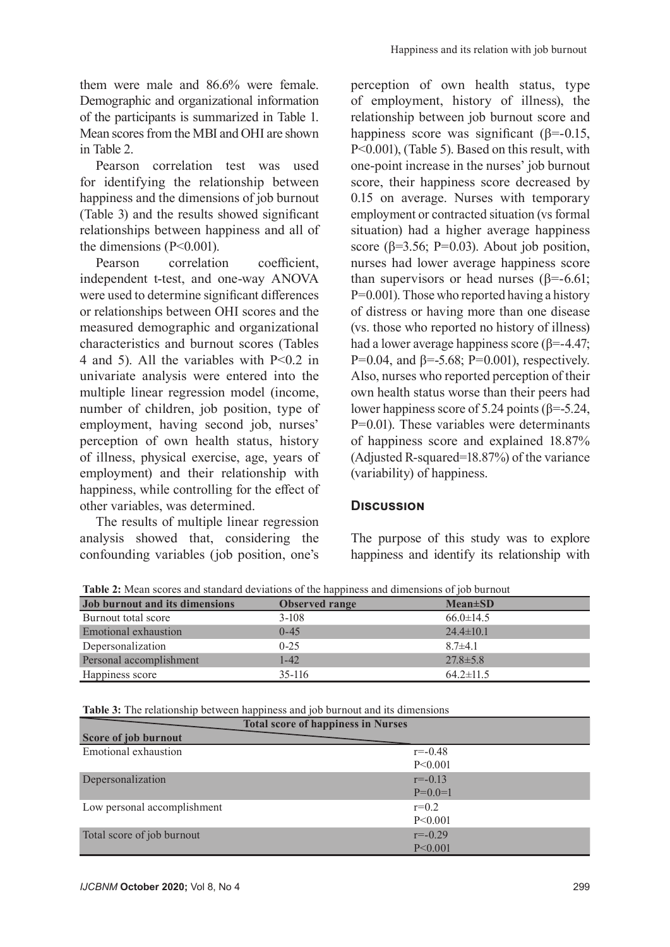them were male and 86.6% were female. Demographic and organizational information of the participants is summarized in Table 1. Mean scores from the MBI and OHI are shown in Table 2.

Pearson correlation test was used for identifying the relationship between happiness and the dimensions of job burnout (Table 3) and the results showed significant relationships between happiness and all of the dimensions (P<0.001).

Pearson correlation coefficient, independent t-test, and one-way ANOVA were used to determine significant differences or relationships between OHI scores and the measured demographic and organizational characteristics and burnout scores (Tables 4 and 5). All the variables with P<0.2 in univariate analysis were entered into the multiple linear regression model (income, number of children, job position, type of employment, having second job, nurses' perception of own health status, history of illness, physical exercise, age, years of employment) and their relationship with happiness, while controlling for the effect of other variables, was determined.

The results of multiple linear regression analysis showed that, considering the confounding variables (job position, one's perception of own health status, type of employment, history of illness), the relationship between job burnout score and happiness score was significant ( $\beta$ =-0.15, P<0.001), (Table 5). Based on this result, with one-point increase in the nurses' job burnout score, their happiness score decreased by 0.15 on average. Nurses with temporary employment or contracted situation (vs formal situation) had a higher average happiness score ( $\beta$ =3.56; P=0.03). About job position, nurses had lower average happiness score than supervisors or head nurses ( $\beta$ =-6.61; P=0.001). Those who reported having a history of distress or having more than one disease (vs. those who reported no history of illness) had a lower average happiness score (β=-4.47; P=0.04, and  $\beta$ =-5.68; P=0.001), respectively. Also, nurses who reported perception of their own health status worse than their peers had lower happiness score of 5.24 points (β=-5.24, P=0.01). These variables were determinants of happiness score and explained 18.87% (Adjusted R-squared=18.87%) of the variance (variability) of happiness.

# **Discussion**

The purpose of this study was to explore happiness and identify its relationship with

**Table 2:** Mean scores and standard deviations of the happiness and dimensions of job burnout

| Job burnout and its dimensions | <b>Observed range</b> | $Mean \pm SD$   |
|--------------------------------|-----------------------|-----------------|
| Burnout total score            | $3-108$               | $66.0 \pm 14.5$ |
| Emotional exhaustion           | $0 - 45$              | $24.4 \pm 10.1$ |
| Depersonalization              | $0 - 25$              | $8.7 \pm 4.1$   |
| Personal accomplishment        | $1 - 42$              | $27.8 \pm 5.8$  |
| Happiness score                | 35-116                | $64.2 \pm 11.5$ |

**Table 3:** The relationship between happiness and job burnout and its dimensions

|                             | <b>Total score of happiness in Nurses</b> |             |
|-----------------------------|-------------------------------------------|-------------|
| Score of job burnout        |                                           |             |
| Emotional exhaustion        |                                           | $r = -0.48$ |
|                             |                                           | P<0.001     |
| Depersonalization           |                                           | $r = -0.13$ |
|                             |                                           | $P=0.0=1$   |
| Low personal accomplishment |                                           | $r=0.2$     |
|                             |                                           | P<0.001     |
| Total score of job burnout  |                                           | $r = -0.29$ |
|                             |                                           | P < 0.001   |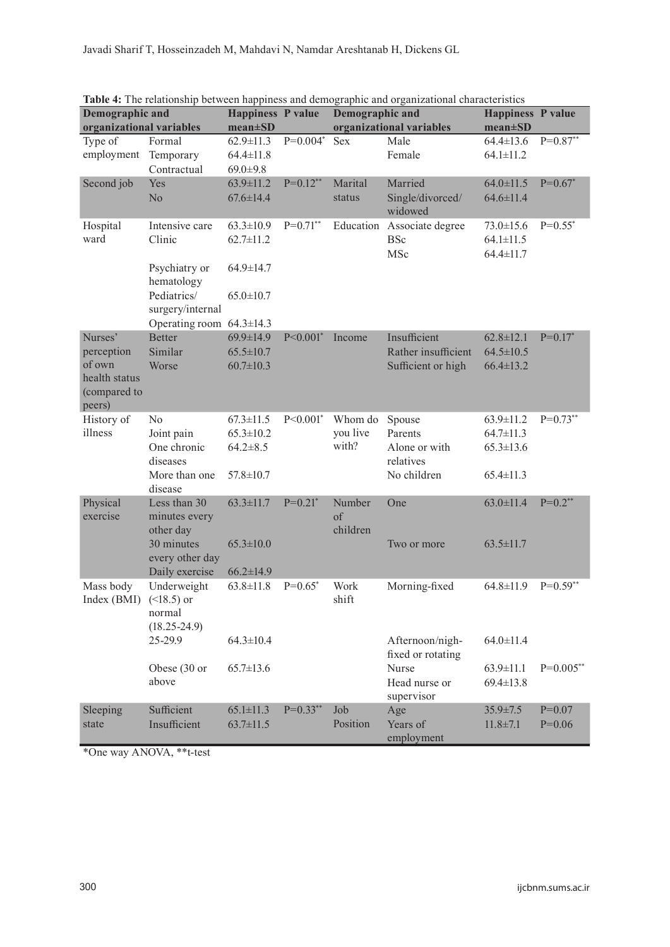| <b>Demographic and</b>   |                                | <b>Happiness P value</b> |               | Demographic and          | rabic 1. The relationship occured happiness and demographic and organizational enarieteristics | Happiness P value |             |
|--------------------------|--------------------------------|--------------------------|---------------|--------------------------|------------------------------------------------------------------------------------------------|-------------------|-------------|
| organizational variables |                                | $mean \pm SD$            |               | organizational variables |                                                                                                | $mean \pm SD$     |             |
| Type of                  | Formal                         | $62.9 \pm 11.3$          | $P=0.004*$    | Sex                      | Male                                                                                           | $64.4 \pm 13.6$   | $P=0.87**$  |
| employment               | Temporary                      | $64.4 \pm 11.8$          |               |                          | Female                                                                                         | $64.1 \pm 11.2$   |             |
|                          | Contractual                    | $69.0 \pm 9.8$           |               |                          |                                                                                                |                   |             |
| Second job               | Yes                            | $63.9 \pm 11.2$          | $P=0.12**$    | Marital                  | Married                                                                                        | $64.0 \pm 11.5$   | $P=0.67*$   |
|                          | No                             | $67.6 \pm 14.4$          |               | status                   | Single/divorced/                                                                               | $64.6 \pm 11.4$   |             |
|                          |                                |                          |               |                          | widowed                                                                                        |                   |             |
| Hospital                 | Intensive care                 | $63.3 \pm 10.9$          | $P=0.71**$    |                          | Education Associate degree                                                                     | $73.0 \pm 15.6$   | $P=0.55^*$  |
| ward                     | Clinic                         | $62.7 \pm 11.2$          |               |                          | <b>BSc</b>                                                                                     | $64.1 \pm 11.5$   |             |
|                          |                                |                          |               |                          | MSc                                                                                            | $64.4 \pm 11.7$   |             |
|                          | Psychiatry or                  | $64.9 \pm 14.7$          |               |                          |                                                                                                |                   |             |
|                          | hematology                     |                          |               |                          |                                                                                                |                   |             |
|                          | Pediatrics/                    | $65.0 \pm 10.7$          |               |                          |                                                                                                |                   |             |
|                          | surgery/internal               |                          |               |                          |                                                                                                |                   |             |
|                          | Operating room $64.3 \pm 14.3$ |                          |               |                          |                                                                                                |                   |             |
| Nurses'                  | Better                         | $69.9 \pm 14.9$          | $P < 0.001$ * | Income                   | Insufficient                                                                                   | $62.8 \pm 12.1$   | $P=0.17*$   |
| perception               | Similar                        | $65.5 \pm 10.7$          |               |                          | Rather insufficient                                                                            | $64.5 \pm 10.5$   |             |
| of own                   | Worse                          | $60.7 \pm 10.3$          |               |                          | Sufficient or high                                                                             | $66.4 \pm 13.2$   |             |
| health status            |                                |                          |               |                          |                                                                                                |                   |             |
| (compared to             |                                |                          |               |                          |                                                                                                |                   |             |
| peers)                   |                                |                          |               |                          |                                                                                                |                   |             |
| History of               | No                             | $67.3 \pm 11.5$          | $P<0.001$ *   | Whom do                  | Spouse                                                                                         | $63.9 \pm 11.2$   | $P=0.73**$  |
| illness                  | Joint pain                     | $65.3 \pm 10.2$          |               | you live                 | Parents                                                                                        | $64.7 \pm 11.3$   |             |
|                          | One chronic                    | $64.2 \pm 8.5$           |               | with?                    | Alone or with                                                                                  | $65.3 \pm 13.6$   |             |
|                          | diseases                       |                          |               |                          | relatives                                                                                      |                   |             |
|                          | More than one                  | $57.8 \pm 10.7$          |               |                          | No children                                                                                    | $65.4 \pm 11.3$   |             |
|                          | disease                        |                          |               |                          |                                                                                                |                   |             |
| Physical                 | Less than 30                   | $63.3 \pm 11.7$          | $P=0.21$ *    | Number                   | One                                                                                            | $63.0 \pm 11.4$   | $P=0.2**$   |
| exercise                 | minutes every                  |                          |               | of                       |                                                                                                |                   |             |
|                          | other day                      |                          |               | children                 |                                                                                                |                   |             |
|                          | 30 minutes<br>every other day  | $65.3 \pm 10.0$          |               |                          | Two or more                                                                                    | $63.5 \pm 11.7$   |             |
|                          | Daily exercise                 | $66.2 \pm 14.9$          |               |                          |                                                                                                |                   |             |
| Mass body                | Underweight                    | $63.8 \pm 11.8$          | $P=0.65^*$    | Work                     | Morning-fixed                                                                                  | $64.8 \pm 11.9$   | $P=0.59**$  |
| Index(BMI)               | $($ 18.5) or                   |                          |               | shift                    |                                                                                                |                   |             |
|                          | normal                         |                          |               |                          |                                                                                                |                   |             |
|                          | $(18.25 - 24.9)$               |                          |               |                          |                                                                                                |                   |             |
|                          | 25-29.9                        | $64.3 \pm 10.4$          |               |                          | Afternoon/nigh-                                                                                | $64.0 \pm 11.4$   |             |
|                          |                                |                          |               |                          | fixed or rotating                                                                              |                   |             |
|                          | Obese (30 or                   | $65.7 \pm 13.6$          |               |                          | Nurse                                                                                          | $63.9 \pm 11.1$   | $P=0.005**$ |
|                          | above                          |                          |               |                          | Head nurse or                                                                                  | $69.4 \pm 13.8$   |             |
|                          |                                |                          |               |                          | supervisor                                                                                     |                   |             |
| Sleeping                 | Sufficient                     | $65.1 \pm 11.3$          | $P=0.33**$    | Job                      | Age                                                                                            | $35.9 \pm 7.5$    | $P=0.07$    |
| state                    | Insufficient                   | $63.7 \pm 11.5$          |               | Position                 | Years of                                                                                       | $11.8 \pm 7.1$    | $P=0.06$    |
|                          |                                |                          |               |                          | employment                                                                                     |                   |             |

**Table 4:** The relationship between happiness and demographic and organizational characteristics

\*One way ANOVA, \*\*t-test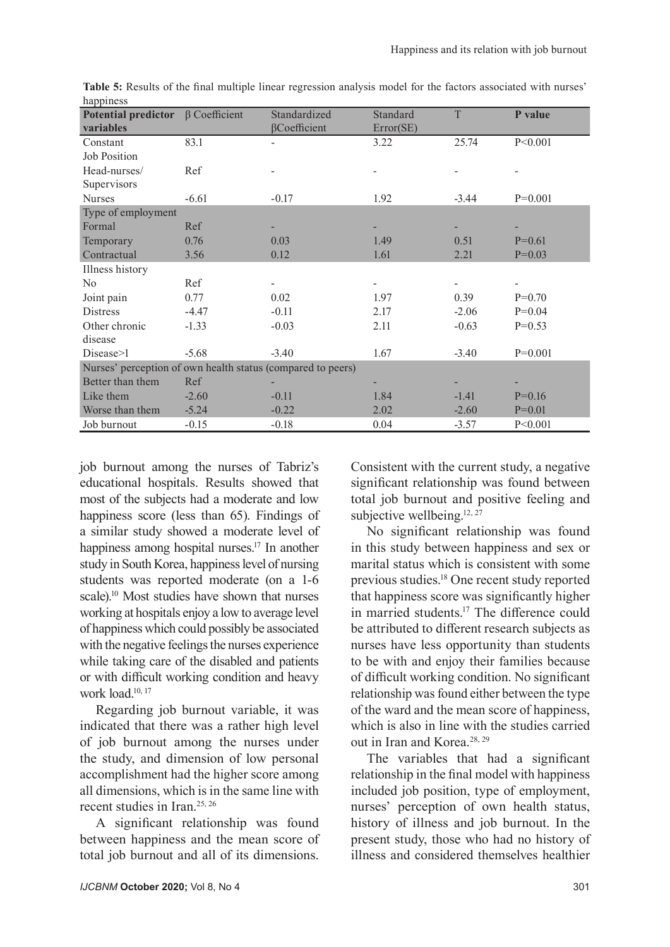| <b>Potential predictor</b>                                  | $\beta$ Coefficient | Standardized | Standard  | T       | P value   |  |
|-------------------------------------------------------------|---------------------|--------------|-----------|---------|-----------|--|
| variables                                                   |                     | βCoefficient | Error(SE) |         |           |  |
| Constant                                                    | 83.1                |              | 3.22      | 25.74   | P<0.001   |  |
| <b>Job Position</b>                                         |                     |              |           |         |           |  |
| Head-nurses/                                                | Ref                 |              |           |         |           |  |
| Supervisors                                                 |                     |              |           |         |           |  |
| <b>Nurses</b>                                               | $-6.61$             | $-0.17$      | 1.92      | $-3.44$ | $P=0.001$ |  |
| Type of employment                                          |                     |              |           |         |           |  |
| Formal                                                      | Ref                 |              |           |         |           |  |
| Temporary                                                   | 0.76                | 0.03         | 1.49      | 0.51    | $P=0.61$  |  |
| Contractual                                                 | 3.56                | 0.12         | 1.61      | 2.21    | $P=0.03$  |  |
| Illness history                                             |                     |              |           |         |           |  |
| N <sub>o</sub>                                              | Ref                 |              |           |         |           |  |
| Joint pain                                                  | 0.77                | 0.02         | 1.97      | 0.39    | $P=0.70$  |  |
| <b>Distress</b>                                             | $-4.47$             | $-0.11$      | 2.17      | $-2.06$ | $P=0.04$  |  |
| Other chronic                                               | $-1.33$             | $-0.03$      | 2.11      | $-0.63$ | $P=0.53$  |  |
| disease                                                     |                     |              |           |         |           |  |
| Disease > 1                                                 | $-5.68$             | $-3.40$      | 1.67      | $-3.40$ | $P=0.001$ |  |
| Nurses' perception of own health status (compared to peers) |                     |              |           |         |           |  |
| Better than them                                            | Ref                 |              |           |         |           |  |
| Like them                                                   | $-2.60$             | $-0.11$      | 1.84      | $-1.41$ | $P=0.16$  |  |
| Worse than them                                             | $-5.24$             | $-0.22$      | 2.02      | $-2.60$ | $P=0.01$  |  |
| Job burnout                                                 | $-0.15$             | $-0.18$      | 0.04      | $-3.57$ | P<0.001   |  |

**Table 5:** Results of the final multiple linear regression analysis model for the factors associated with nurses' happiness

job burnout among the nurses of Tabriz's educational hospitals. Results showed that most of the subjects had a moderate and low happiness score (less than 65). Findings of a similar study showed a moderate level of happiness among hospital nurses.<sup>17</sup> In another study in South Korea, happiness level of nursing students was reported moderate (on a 1-6 scale).<sup>10</sup> Most studies have shown that nurses working at hospitals enjoy a low to average level of happiness which could possibly be associated with the negative feelings the nurses experience while taking care of the disabled and patients or with difficult working condition and heavy work load.<sup>10, 17</sup>

Regarding job burnout variable, it was indicated that there was a rather high level of job burnout among the nurses under the study, and dimension of low personal accomplishment had the higher score among all dimensions, which is in the same line with recent studies in Iran.25, 26

A significant relationship was found between happiness and the mean score of total job burnout and all of its dimensions.

Consistent with the current study, a negative significant relationship was found between total job burnout and positive feeling and subjective wellbeing.<sup>12, 27</sup>

No significant relationship was found in this study between happiness and sex or marital status which is consistent with some previous studies.<sup>18</sup> One recent study reported that happiness score was significantly higher in married students.17 The difference could be attributed to different research subjects as nurses have less opportunity than students to be with and enjoy their families because of difficult working condition. No significant relationship was found either between the type of the ward and the mean score of happiness, which is also in line with the studies carried out in Iran and Korea.28, 29

The variables that had a significant relationship in the final model with happiness included job position, type of employment, nurses' perception of own health status, history of illness and job burnout. In the present study, those who had no history of illness and considered themselves healthier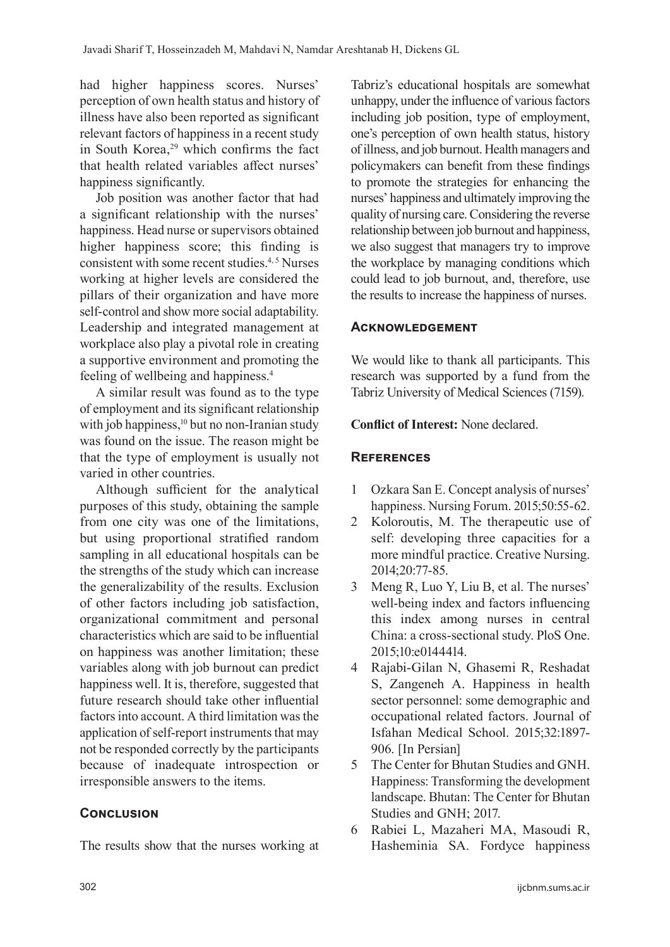had higher happiness scores. Nurses' perception of own health status and history of illness have also been reported as significant relevant factors of happiness in a recent study in South Korea,<sup>29</sup> which confirms the fact that health related variables affect nurses' happiness significantly.

Job position was another factor that had a significant relationship with the nurses' happiness. Head nurse or supervisors obtained higher happiness score; this finding is consistent with some recent studies.<sup>4, 5</sup> Nurses working at higher levels are considered the pillars of their organization and have more self-control and show more social adaptability. Leadership and integrated management at workplace also play a pivotal role in creating a supportive environment and promoting the feeling of wellbeing and happiness.4

A similar result was found as to the type of employment and its significant relationship with job happiness,<sup>10</sup> but no non-Iranian study was found on the issue. The reason might be that the type of employment is usually not varied in other countries.

Although sufficient for the analytical purposes of this study, obtaining the sample from one city was one of the limitations, but using proportional stratified random sampling in all educational hospitals can be the strengths of the study which can increase the generalizability of the results. Exclusion of other factors including job satisfaction, organizational commitment and personal characteristics which are said to be influential on happiness was another limitation; these variables along with job burnout can predict happiness well. It is, therefore, suggested that future research should take other influential factors into account. A third limitation was the application of self-report instruments that may not be responded correctly by the participants because of inadequate introspection or irresponsible answers to the items.

# **CONCLUSION**

The results show that the nurses working at

Tabriz's educational hospitals are somewhat unhappy, under the influence of various factors including job position, type of employment, one's perception of own health status, history of illness, and job burnout. Health managers and policymakers can benefit from these findings to promote the strategies for enhancing the nurses' happiness and ultimately improving the quality of nursing care. Considering the reverse relationship between job burnout and happiness, we also suggest that managers try to improve the workplace by managing conditions which could lead to job burnout, and, therefore, use the results to increase the happiness of nurses.

#### **Acknowledgement**

We would like to thank all participants. This research was supported by a fund from the Tabriz University of Medical Sciences (7159).

**Conflict of Interest:** None declared.

## **References**

- 1 Ozkara San E. Concept analysis of nurses' happiness. Nursing Forum. 2015;50:55-62.
- 2 Koloroutis, M. The therapeutic use of self: developing three capacities for a more mindful practice. Creative Nursing. 2014;20:77-85.
- 3 Meng R, Luo Y, Liu B, et al. The nurses' well-being index and factors influencing this index among nurses in central China: a cross-sectional study. PloS One. 2015;10:e0144414.
- 4 Rajabi-Gilan N, Ghasemi R, Reshadat S, Zangeneh A. Happiness in health sector personnel: some demographic and occupational related factors. Journal of Isfahan Medical School. 2015;32:1897- 906. [In Persian]
- 5 The Center for Bhutan Studies and GNH. Happiness: Transforming the development landscape. Bhutan: The Center for Bhutan Studies and GNH; 2017.
- 6 Rabiei L, Mazaheri MA, Masoudi R, Hasheminia SA. Fordyce happiness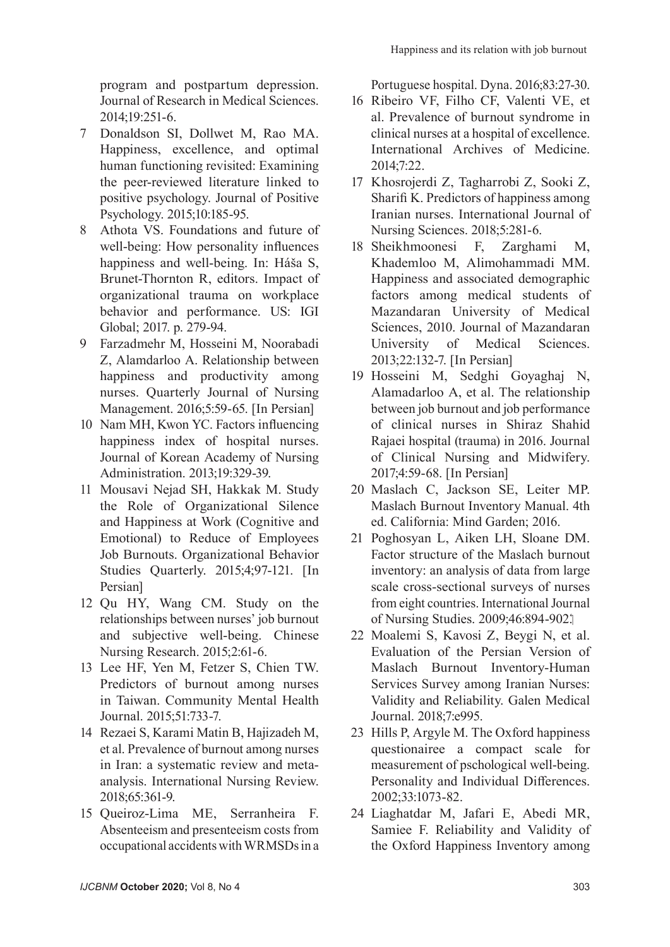program and postpartum depression. Journal of Research in Medical Sciences. 2014;19:251-6.

- 7 Donaldson SI, Dollwet M, Rao MA. Happiness, excellence, and optimal human functioning revisited: Examining the peer-reviewed literature linked to positive psychology. Journal of Positive Psychology. 2015;10:185-95.
- 8 Athota VS. Foundations and future of well-being: How personality influences happiness and well-being. In: Háša S, Brunet-Thornton R, editors. Impact of organizational trauma on workplace behavior and performance. US: IGI Global; 2017. p. 279-94.
- 9 Farzadmehr M, Hosseini M, Noorabadi Z, Alamdarloo A. Relationship between happiness and productivity among nurses. Quarterly Journal of Nursing Management. 2016;5:59-65. [In Persian]
- 10 Nam MH, Kwon YC. Factors influencing happiness index of hospital nurses. Journal of Korean Academy of Nursing Administration. 2013;19:329-39.
- 11 Mousavi Nejad SH, Hakkak M. Study the Role of Organizational Silence and Happiness at Work (Cognitive and Emotional) to Reduce of Employees Job Burnouts. Organizational Behavior Studies Quarterly. 2015;4;97-121. [In Persian]
- 12 Qu HY, Wang CM. Study on the relationships between nurses' job burnout and subjective well-being. Chinese Nursing Research. 2015;2:61-6.
- 13 Lee HF, Yen M, Fetzer S, Chien TW. Predictors of burnout among nurses in Taiwan. Community Mental Health Journal. 2015;51:733-7.
- 14 Rezaei S, Karami Matin B, Hajizadeh M, et al. Prevalence of burnout among nurses in Iran: a systematic review and metaanalysis. International Nursing Review. 2018;65:361-9.
- 15 Queiroz-Lima ME, Serranheira F. Absenteeism and presenteeism costs from occupational accidents with WRMSDs in a

Portuguese hospital. Dyna. 2016;83:27-30.

- 16 Ribeiro VF, Filho CF, Valenti VE, et al. Prevalence of burnout syndrome in clinical nurses at a hospital of excellence. International Archives of Medicine. 2014;7:22.
- 17 Khosrojerdi Z, Tagharrobi Z, Sooki Z, Sharifi K. Predictors of happiness among Iranian nurses. International Journal of Nursing Sciences. 2018;5:281-6.
- 18 Sheikhmoonesi F, Zarghami M, Khademloo M, Alimohammadi MM. Happiness and associated demographic factors among medical students of Mazandaran University of Medical Sciences, 2010. Journal of Mazandaran University of Medical Sciences. 2013;22:132-7. [In Persian]
- 19 Hosseini M, Sedghi Goyaghaj N, Alamadarloo A, et al. The relationship between job burnout and job performance of clinical nurses in Shiraz Shahid Rajaei hospital (trauma) in 2016. Journal of Clinical Nursing and Midwifery. 2017;4:59-68. [In Persian]
- 20 Maslach C, Jackson SE, Leiter MP. Maslach Burnout Inventory Manual. 4th ed. California: Mind Garden; 2016.
- 21 Poghosyan L, Aiken LH, Sloane DM. Factor structure of the Maslach burnout inventory: an analysis of data from large scale cross-sectional surveys of nurses from eight countries. International Journal of Nursing Studies. 2009;46:894-902.
- 22 Moalemi S, Kavosi Z, Beygi N, et al. Evaluation of the Persian Version of Maslach Burnout Inventory-Human Services Survey among Iranian Nurses: Validity and Reliability. Galen Medical Journal. 2018;7:e995.
- 23 Hills P, Argyle M. The Oxford happiness questionairee a compact scale for measurement of pschological well-being. Personality and Individual Differences. 2002;33:1073-82.
- 24 Liaghatdar M, Jafari E, Abedi MR, Samiee F. Reliability and Validity of the Oxford Happiness Inventory among